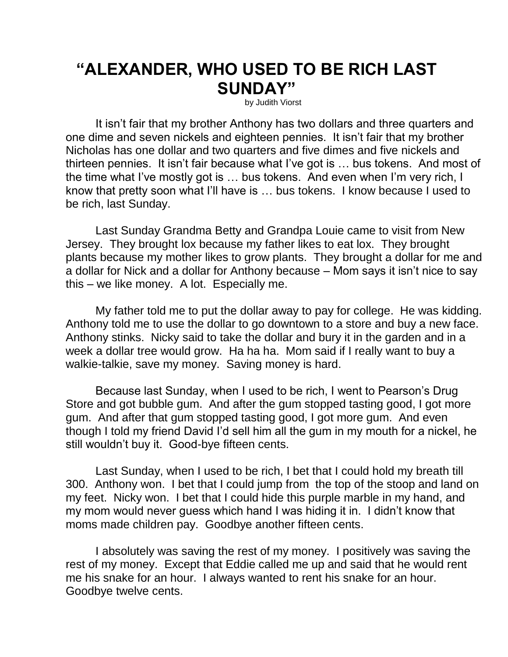## **"ALEXANDER, WHO USED TO BE RICH LAST SUNDAY"**

by Judith Viorst

It isn't fair that my brother Anthony has two dollars and three quarters and one dime and seven nickels and eighteen pennies. It isn't fair that my brother Nicholas has one dollar and two quarters and five dimes and five nickels and thirteen pennies. It isn't fair because what I've got is … bus tokens. And most of the time what I've mostly got is … bus tokens. And even when I'm very rich, I know that pretty soon what I'll have is … bus tokens. I know because I used to be rich, last Sunday.

Last Sunday Grandma Betty and Grandpa Louie came to visit from New Jersey. They brought lox because my father likes to eat lox. They brought plants because my mother likes to grow plants. They brought a dollar for me and a dollar for Nick and a dollar for Anthony because – Mom says it isn't nice to say this – we like money. A lot. Especially me.

My father told me to put the dollar away to pay for college. He was kidding. Anthony told me to use the dollar to go downtown to a store and buy a new face. Anthony stinks. Nicky said to take the dollar and bury it in the garden and in a week a dollar tree would grow. Ha ha ha. Mom said if I really want to buy a walkie-talkie, save my money. Saving money is hard.

Because last Sunday, when I used to be rich, I went to Pearson's Drug Store and got bubble gum. And after the gum stopped tasting good, I got more gum. And after that gum stopped tasting good, I got more gum. And even though I told my friend David I'd sell him all the gum in my mouth for a nickel, he still wouldn't buy it. Good-bye fifteen cents.

Last Sunday, when I used to be rich, I bet that I could hold my breath till 300. Anthony won. I bet that I could jump from the top of the stoop and land on my feet. Nicky won. I bet that I could hide this purple marble in my hand, and my mom would never guess which hand I was hiding it in. I didn't know that moms made children pay. Goodbye another fifteen cents.

I absolutely was saving the rest of my money. I positively was saving the rest of my money. Except that Eddie called me up and said that he would rent me his snake for an hour. I always wanted to rent his snake for an hour. Goodbye twelve cents.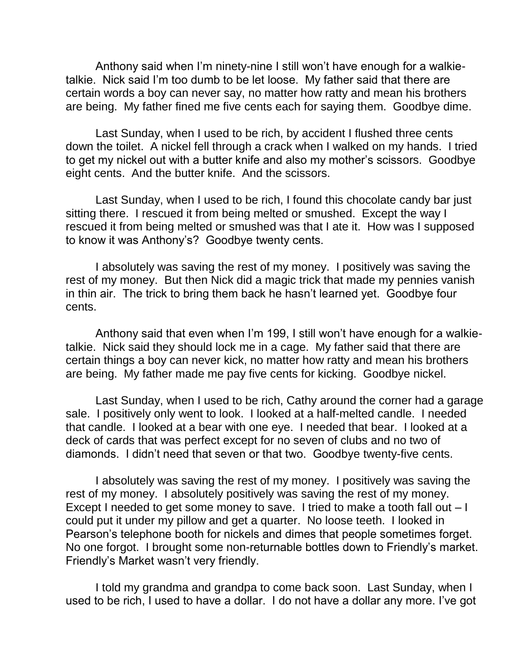Anthony said when I'm ninety-nine I still won't have enough for a walkietalkie. Nick said I'm too dumb to be let loose. My father said that there are certain words a boy can never say, no matter how ratty and mean his brothers are being. My father fined me five cents each for saying them. Goodbye dime.

Last Sunday, when I used to be rich, by accident I flushed three cents down the toilet. A nickel fell through a crack when I walked on my hands. I tried to get my nickel out with a butter knife and also my mother's scissors. Goodbye eight cents. And the butter knife. And the scissors.

Last Sunday, when I used to be rich, I found this chocolate candy bar just sitting there. I rescued it from being melted or smushed. Except the way I rescued it from being melted or smushed was that I ate it. How was I supposed to know it was Anthony's? Goodbye twenty cents.

I absolutely was saving the rest of my money. I positively was saving the rest of my money. But then Nick did a magic trick that made my pennies vanish in thin air. The trick to bring them back he hasn't learned yet. Goodbye four cents.

Anthony said that even when I'm 199, I still won't have enough for a walkietalkie. Nick said they should lock me in a cage. My father said that there are certain things a boy can never kick, no matter how ratty and mean his brothers are being. My father made me pay five cents for kicking. Goodbye nickel.

Last Sunday, when I used to be rich, Cathy around the corner had a garage sale. I positively only went to look. I looked at a half-melted candle. I needed that candle. I looked at a bear with one eye. I needed that bear. I looked at a deck of cards that was perfect except for no seven of clubs and no two of diamonds. I didn't need that seven or that two. Goodbye twenty-five cents.

I absolutely was saving the rest of my money. I positively was saving the rest of my money. I absolutely positively was saving the rest of my money. Except I needed to get some money to save. I tried to make a tooth fall out – I could put it under my pillow and get a quarter. No loose teeth. I looked in Pearson's telephone booth for nickels and dimes that people sometimes forget. No one forgot. I brought some non-returnable bottles down to Friendly's market. Friendly's Market wasn't very friendly.

I told my grandma and grandpa to come back soon. Last Sunday, when I used to be rich, I used to have a dollar. I do not have a dollar any more. I've got